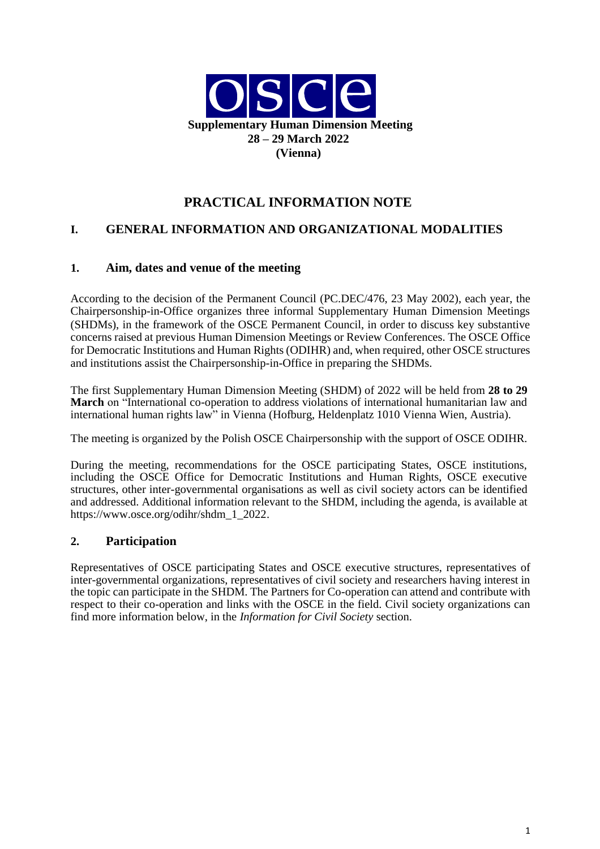

# **PRACTICAL INFORMATION NOTE**

## **I. GENERAL INFORMATION AND ORGANIZATIONAL MODALITIES**

#### **1. Aim, dates and venue of the meeting**

According to the decision of the Permanent Council (PC.DEC/476, 23 May 2002), each year, the Chairpersonship-in-Office organizes three informal Supplementary Human Dimension Meetings (SHDMs), in the framework of the OSCE Permanent Council, in order to discuss key substantive concerns raised at previous Human Dimension Meetings or Review Conferences. The OSCE Office for Democratic Institutions and Human Rights (ODIHR) and, when required, other OSCE structures and institutions assist the Chairpersonship-in-Office in preparing the SHDMs.

The first Supplementary Human Dimension Meeting (SHDM) of 2022 will be held from **28 to 29 March** on "International co-operation to address violations of international humanitarian law and international human rights law" in Vienna (Hofburg, Heldenplatz 1010 Vienna Wien, Austria).

The meeting is organized by the Polish OSCE Chairpersonship with the support of OSCE ODIHR.

During the meeting, recommendations for the OSCE participating States, OSCE institutions, including the OSCE Office for Democratic Institutions and Human Rights, OSCE executive structures, other inter-governmental organisations as well as civil society actors can be identified and addressed. Additional information relevant to the SHDM, including the agenda, is available at https://www.osce.org/odihr/shdm\_1\_2022.

#### **2. Participation**

Representatives of OSCE participating States and OSCE executive structures, representatives of inter-governmental organizations, representatives of civil society and researchers having interest in the topic can participate in the SHDM. The Partners for Co-operation can attend and contribute with respect to their co-operation and links with the OSCE in the field. Civil society organizations can find more information below, in the *Information for Civil Society* section.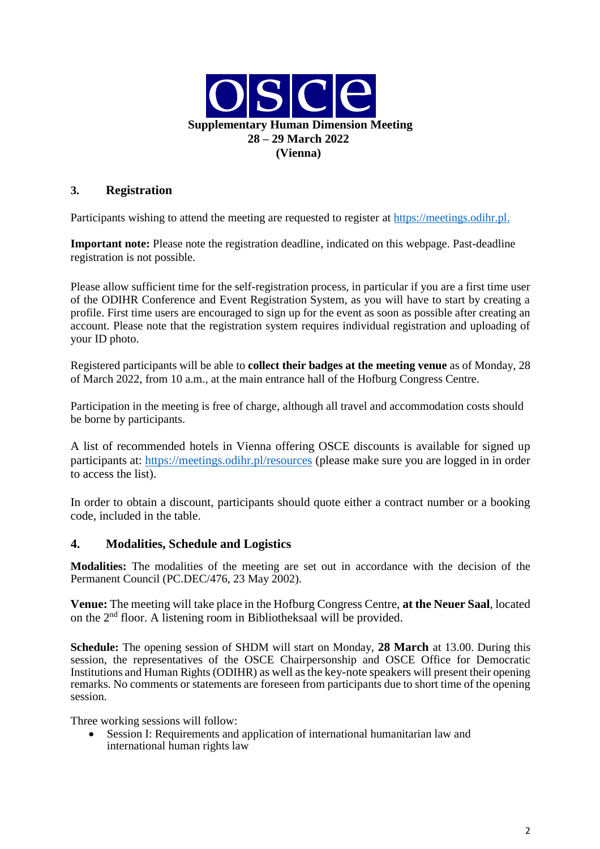

### **3. Registration**

Participants wishing to attend the meeting are requested to register at [https://meetings.odihr.pl.](https://meetings.odihr.pl/)

**Important note:** Please note the registration deadline, indicated on this webpage. Past-deadline registration is not possible.

Please allow sufficient time for the self-registration process, in particular if you are a first time user of the ODIHR Conference and Event Registration System, as you will have to start by creating a profile. First time users are encouraged to sign up for the event as soon as possible after creating an account. Please note that the registration system requires individual registration and uploading of your ID photo.

Registered participants will be able to **collect their badges at the meeting venue** as of Monday, 28 of March 2022, from 10 a.m., at the main entrance hall of the Hofburg Congress Centre.

Participation in the meeting is free of charge, although all travel and accommodation costs should be borne by participants.

A list of recommended hotels in Vienna offering OSCE discounts is available for signed up participants at:<https://meetings.odihr.pl/resources> (please make sure you are logged in in order to access the list).

In order to obtain a discount, participants should quote either a contract number or a booking code, included in the table.

#### **4. Modalities, Schedule and Logistics**

**Modalities:** The modalities of the meeting are set out in accordance with the decision of the Permanent Council (PC.DEC/476, 23 May 2002).

**Venue:** The meeting will take place in the Hofburg Congress Centre, **at the Neuer Saal**, located on the 2nd floor. A listening room in Bibliotheksaal will be provided.

**Schedule:** The opening session of SHDM will start on Monday, **28 March** at 13.00. During this session, the representatives of the OSCE Chairpersonship and OSCE Office for Democratic Institutions and Human Rights (ODIHR) as well as the key-note speakers will present their opening remarks. No comments or statements are foreseen from participants due to short time of the opening session.

Three working sessions will follow:

 Session I: Requirements and application of international humanitarian law and international human rights law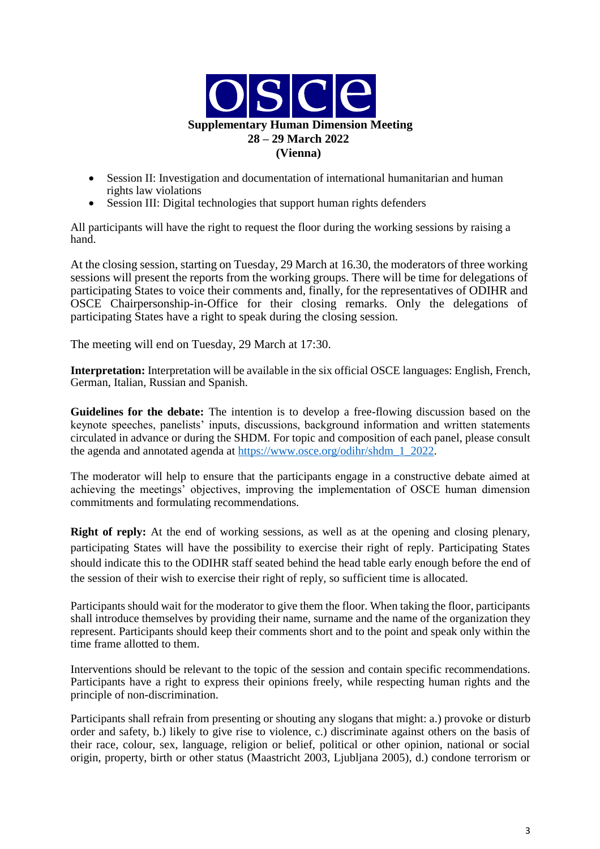

- Session II: Investigation and documentation of international humanitarian and human rights law violations
- Session III: Digital technologies that support human rights defenders

All participants will have the right to request the floor during the working sessions by raising a hand.

At the closing session, starting on Tuesday, 29 March at 16.30, the moderators of three working sessions will present the reports from the working groups. There will be time for delegations of participating States to voice their comments and, finally, for the representatives of ODIHR and OSCE Chairpersonship-in-Office for their closing remarks. Only the delegations of participating States have a right to speak during the closing session.

The meeting will end on Tuesday, 29 March at 17:30.

**Interpretation:** Interpretation will be available in the six official OSCE languages: English, French, German, Italian, Russian and Spanish.

**Guidelines for the debate:** The intention is to develop a free-flowing discussion based on the keynote speeches, panelists' inputs, discussions, background information and written statements circulated in advance or during the SHDM. For topic and composition of each panel, please consult the agenda and annotated agenda at [https://www.osce.org/odihr/shdm\\_1\\_2022.](https://www.osce.org/odihr/shdm_1_2022)

The moderator will help to ensure that the participants engage in a constructive debate aimed at achieving the meetings' objectives, improving the implementation of OSCE human dimension commitments and formulating recommendations.

**Right of reply:** At the end of working sessions, as well as at the opening and closing plenary, participating States will have the possibility to exercise their right of reply. Participating States should indicate this to the ODIHR staff seated behind the head table early enough before the end of the session of their wish to exercise their right of reply, so sufficient time is allocated.

Participants should wait for the moderator to give them the floor. When taking the floor, participants shall introduce themselves by providing their name, surname and the name of the organization they represent. Participants should keep their comments short and to the point and speak only within the time frame allotted to them.

Interventions should be relevant to the topic of the session and contain specific recommendations. Participants have a right to express their opinions freely, while respecting human rights and the principle of non-discrimination.

Participants shall refrain from presenting or shouting any slogans that might: a.) provoke or disturb order and safety, b.) likely to give rise to violence, c.) discriminate against others on the basis of their race, colour, sex, language, religion or belief, political or other opinion, national or social origin, property, birth or other status (Maastricht 2003, Ljubljana 2005), d.) condone terrorism or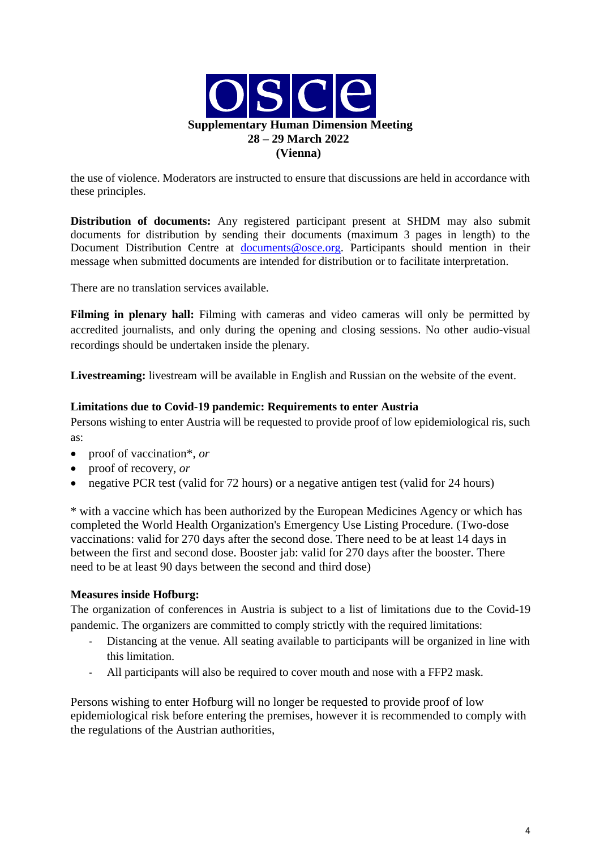

the use of violence. Moderators are instructed to ensure that discussions are held in accordance with these principles.

**Distribution of documents:** Any registered participant present at SHDM may also submit documents for distribution by sending their documents (maximum 3 pages in length) to the Document Distribution Centre at documents@osce.org. Participants should mention in their message when submitted documents are intended for distribution or to facilitate interpretation.

There are no translation services available.

**Filming in plenary hall:** Filming with cameras and video cameras will only be permitted by accredited journalists, and only during the opening and closing sessions. No other audio-visual recordings should be undertaken inside the plenary.

**Livestreaming:** livestream will be available in English and Russian on the website of the event.

#### **Limitations due to Covid-19 pandemic: Requirements to enter Austria**

Persons wishing to enter Austria will be requested to provide proof of low epidemiological ris, such as:

- proof of vaccination\*, *or*
- proof of recovery, *or*
- negative PCR test (valid for 72 hours) or a negative antigen test (valid for 24 hours)

\* with a vaccine which has been authorized by the European Medicines Agency or which has completed the World Health Organization's Emergency Use Listing Procedure. (Two-dose vaccinations: valid for 270 days after the second dose. There need to be at least 14 days in between the first and second dose. Booster jab: valid for 270 days after the booster. There need to be at least 90 days between the second and third dose)

#### **Measures inside Hofburg:**

The organization of conferences in Austria is subject to a list of limitations due to the Covid-19 pandemic. The organizers are committed to comply strictly with the required limitations:

- Distancing at the venue. All seating available to participants will be organized in line with this limitation.
- All participants will also be required to cover mouth and nose with a FFP2 mask.

Persons wishing to enter Hofburg will no longer be requested to provide proof of low epidemiological risk before entering the premises, however it is recommended to comply with the regulations of the Austrian authorities,